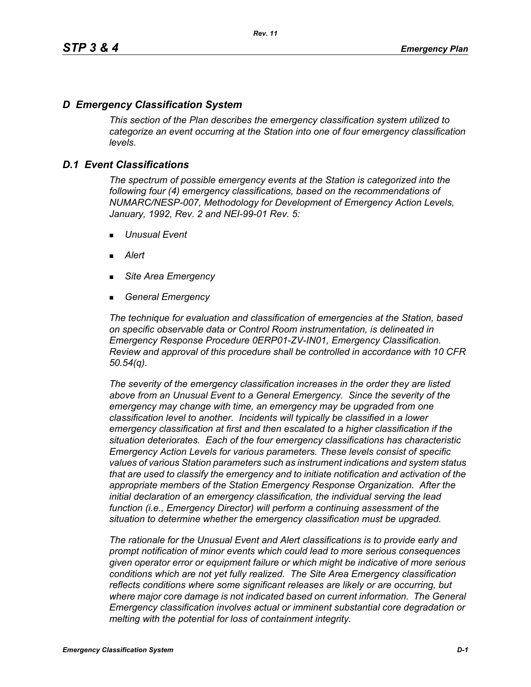# *D Emergency Classification System*

*This section of the Plan describes the emergency classification system utilized to categorize an event occurring at the Station into one of four emergency classification levels.*

# *D.1 Event Classifications*

*The spectrum of possible emergency events at the Station is categorized into the following four (4) emergency classifications, based on the recommendations of NUMARC/NESP-007, Methodology for Development of Emergency Action Levels, January, 1992, Rev. 2 and NEI-99-01 Rev. 5:*

- *Unusual Event*
- *Alert*
- *Site Area Emergency*
- *General Emergency*

*The technique for evaluation and classification of emergencies at the Station, based on specific observable data or Control Room instrumentation, is delineated in Emergency Response Procedure 0ERP01-ZV-IN01, Emergency Classification. Review and approval of this procedure shall be controlled in accordance with 10 CFR 50.54(q).*

*The severity of the emergency classification increases in the order they are listed above from an Unusual Event to a General Emergency. Since the severity of the emergency may change with time, an emergency may be upgraded from one classification level to another. Incidents will typically be classified in a lower emergency classification at first and then escalated to a higher classification if the situation deteriorates. Each of the four emergency classifications has characteristic Emergency Action Levels for various parameters. These levels consist of specific values of various Station parameters such as instrument indications and system status that are used to classify the emergency and to initiate notification and activation of the appropriate members of the Station Emergency Response Organization. After the initial declaration of an emergency classification, the individual serving the lead function (i.e., Emergency Director) will perform a continuing assessment of the situation to determine whether the emergency classification must be upgraded.*

*The rationale for the Unusual Event and Alert classifications is to provide early and prompt notification of minor events which could lead to more serious consequences given operator error or equipment failure or which might be indicative of more serious conditions which are not yet fully realized. The Site Area Emergency classification reflects conditions where some significant releases are likely or are occurring, but*  where major core damage is not indicated based on current information. The General *Emergency classification involves actual or imminent substantial core degradation or melting with the potential for loss of containment integrity.*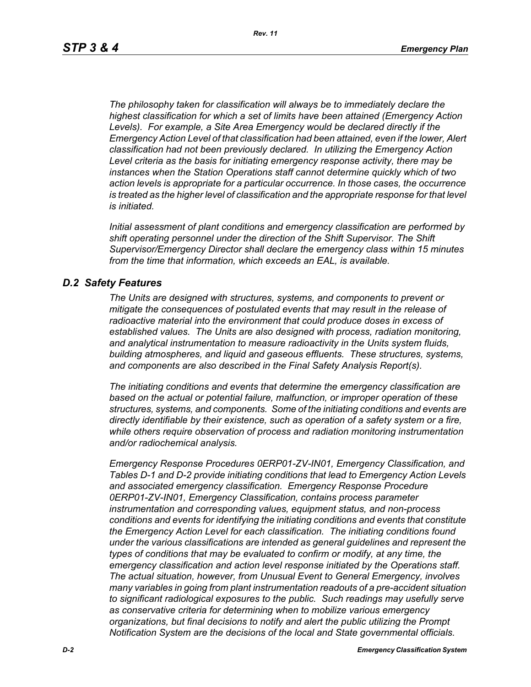*The philosophy taken for classification will always be to immediately declare the highest classification for which a set of limits have been attained (Emergency Action Levels). For example, a Site Area Emergency would be declared directly if the Emergency Action Level of that classification had been attained, even if the lower, Alert classification had not been previously declared. In utilizing the Emergency Action Level criteria as the basis for initiating emergency response activity, there may be instances when the Station Operations staff cannot determine quickly which of two action levels is appropriate for a particular occurrence. In those cases, the occurrence*  is treated as the higher level of classification and the appropriate response for that level *is initiated.*

*Initial assessment of plant conditions and emergency classification are performed by shift operating personnel under the direction of the Shift Supervisor. The Shift Supervisor/Emergency Director shall declare the emergency class within 15 minutes from the time that information, which exceeds an EAL, is available.*

# *D.2 Safety Features*

*The Units are designed with structures, systems, and components to prevent or mitigate the consequences of postulated events that may result in the release of radioactive material into the environment that could produce doses in excess of established values. The Units are also designed with process, radiation monitoring, and analytical instrumentation to measure radioactivity in the Units system fluids, building atmospheres, and liquid and gaseous effluents. These structures, systems, and components are also described in the Final Safety Analysis Report(s).*

*The initiating conditions and events that determine the emergency classification are based on the actual or potential failure, malfunction, or improper operation of these structures, systems, and components. Some of the initiating conditions and events are directly identifiable by their existence, such as operation of a safety system or a fire, while others require observation of process and radiation monitoring instrumentation and/or radiochemical analysis.*

*Emergency Response Procedures 0ERP01-ZV-IN01, Emergency Classification, and Tables D-1 and D-2 provide initiating conditions that lead to Emergency Action Levels and associated emergency classification. Emergency Response Procedure 0ERP01-ZV-IN01, Emergency Classification, contains process parameter instrumentation and corresponding values, equipment status, and non-process conditions and events for identifying the initiating conditions and events that constitute the Emergency Action Level for each classification. The initiating conditions found under the various classifications are intended as general guidelines and represent the types of conditions that may be evaluated to confirm or modify, at any time, the emergency classification and action level response initiated by the Operations staff. The actual situation, however, from Unusual Event to General Emergency, involves many variables in going from plant instrumentation readouts of a pre-accident situation to significant radiological exposures to the public. Such readings may usefully serve as conservative criteria for determining when to mobilize various emergency organizations, but final decisions to notify and alert the public utilizing the Prompt Notification System are the decisions of the local and State governmental officials.*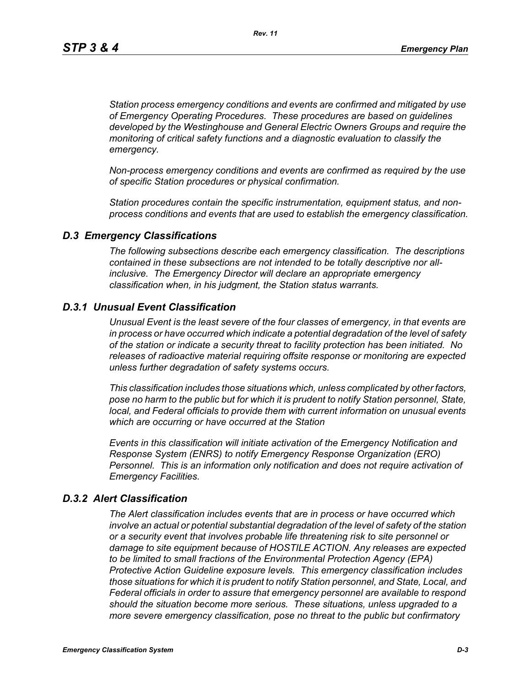*Station process emergency conditions and events are confirmed and mitigated by use of Emergency Operating Procedures. These procedures are based on guidelines developed by the Westinghouse and General Electric Owners Groups and require the monitoring of critical safety functions and a diagnostic evaluation to classify the emergency.*

*Non-process emergency conditions and events are confirmed as required by the use of specific Station procedures or physical confirmation.*

*Station procedures contain the specific instrumentation, equipment status, and nonprocess conditions and events that are used to establish the emergency classification.*

### *D.3 Emergency Classifications*

*The following subsections describe each emergency classification. The descriptions contained in these subsections are not intended to be totally descriptive nor allinclusive. The Emergency Director will declare an appropriate emergency classification when, in his judgment, the Station status warrants.*

### *D.3.1 Unusual Event Classification*

*Unusual Event is the least severe of the four classes of emergency, in that events are in process or have occurred which indicate a potential degradation of the level of safety of the station or indicate a security threat to facility protection has been initiated. No releases of radioactive material requiring offsite response or monitoring are expected unless further degradation of safety systems occurs.*

*This classification includes those situations which, unless complicated by other factors, pose no harm to the public but for which it is prudent to notify Station personnel, State, local, and Federal officials to provide them with current information on unusual events which are occurring or have occurred at the Station*

*Events in this classification will initiate activation of the Emergency Notification and Response System (ENRS) to notify Emergency Response Organization (ERO) Personnel. This is an information only notification and does not require activation of Emergency Facilities.* 

### *D.3.2 Alert Classification*

*The Alert classification includes events that are in process or have occurred which involve an actual or potential substantial degradation of the level of safety of the station or a security event that involves probable life threatening risk to site personnel or damage to site equipment because of HOSTILE ACTION. Any releases are expected to be limited to small fractions of the Environmental Protection Agency (EPA) Protective Action Guideline exposure levels. This emergency classification includes those situations for which it is prudent to notify Station personnel, and State, Local, and Federal officials in order to assure that emergency personnel are available to respond should the situation become more serious. These situations, unless upgraded to a more severe emergency classification, pose no threat to the public but confirmatory*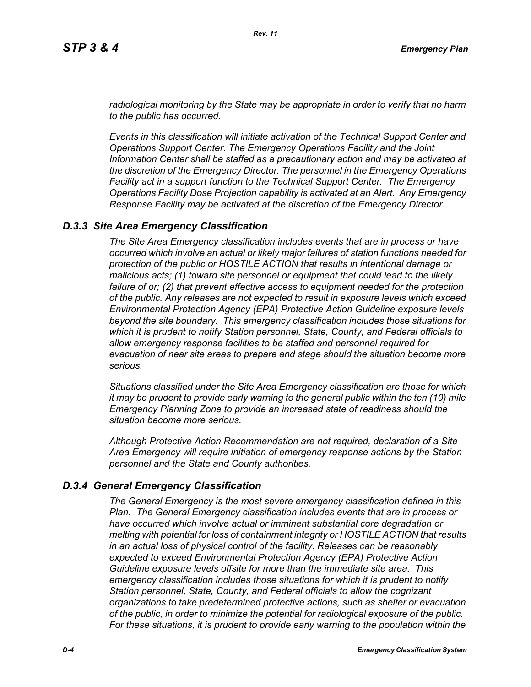*radiological monitoring by the State may be appropriate in order to verify that no harm to the public has occurred.*

*Events in this classification will initiate activation of the Technical Support Center and Operations Support Center. The Emergency Operations Facility and the Joint Information Center shall be staffed as a precautionary action and may be activated at the discretion of the Emergency Director. The personnel in the Emergency Operations Facility act in a support function to the Technical Support Center. The Emergency Operations Facility Dose Projection capability is activated at an Alert. Any Emergency Response Facility may be activated at the discretion of the Emergency Director.*

### *D.3.3 Site Area Emergency Classification*

*The Site Area Emergency classification includes events that are in process or have occurred which involve an actual or likely major failures of station functions needed for protection of the public or HOSTILE ACTION that results in intentional damage or malicious acts; (1) toward site personnel or equipment that could lead to the likely failure of or; (2) that prevent effective access to equipment needed for the protection of the public. Any releases are not expected to result in exposure levels which exceed Environmental Protection Agency (EPA) Protective Action Guideline exposure levels beyond the site boundary. This emergency classification includes those situations for which it is prudent to notify Station personnel, State, County, and Federal officials to allow emergency response facilities to be staffed and personnel required for evacuation of near site areas to prepare and stage should the situation become more serious.* 

*Situations classified under the Site Area Emergency classification are those for which it may be prudent to provide early warning to the general public within the ten (10) mile Emergency Planning Zone to provide an increased state of readiness should the situation become more serious.*

*Although Protective Action Recommendation are not required, declaration of a Site Area Emergency will require initiation of emergency response actions by the Station personnel and the State and County authorities.*

### *D.3.4 General Emergency Classification*

*The General Emergency is the most severe emergency classification defined in this Plan. The General Emergency classification includes events that are in process or have occurred which involve actual or imminent substantial core degradation or melting with potential for loss of containment integrity or HOSTILE ACTION that results in an actual loss of physical control of the facility. Releases can be reasonably expected to exceed Environmental Protection Agency (EPA) Protective Action Guideline exposure levels offsite for more than the immediate site area. This emergency classification includes those situations for which it is prudent to notify Station personnel, State, County, and Federal officials to allow the cognizant organizations to take predetermined protective actions, such as shelter or evacuation of the public, in order to minimize the potential for radiological exposure of the public. For these situations, it is prudent to provide early warning to the population within the*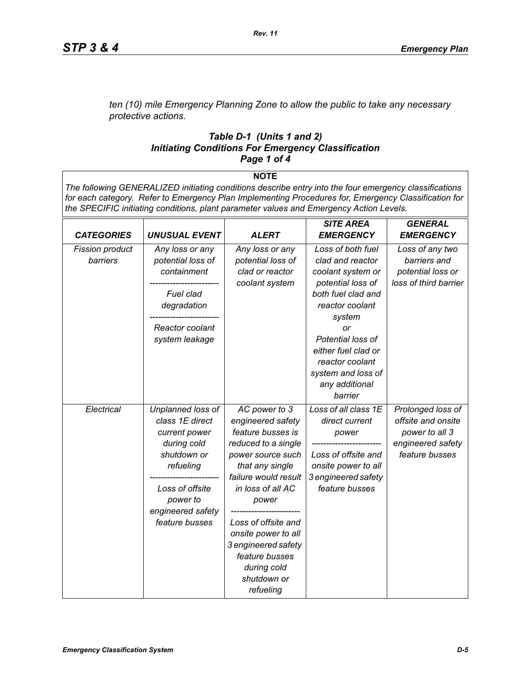*ten (10) mile Emergency Planning Zone to allow the public to take any necessary protective actions.*

### *Table D-1 (Units 1 and 2) Initiating Conditions For Emergency Classification Page 1 of 4*

**NOTE**

*The following GENERALIZED initiating conditions describe entry into the four emergency classifications for each category. Refer to Emergency Plan Implementing Procedures for, Emergency Classification for the SPECIFIC initiating conditions, plant parameter values and Emergency Action Levels.*

|                        |                      |                      | <b>SITE AREA</b>     | <b>GENERAL</b>        |
|------------------------|----------------------|----------------------|----------------------|-----------------------|
| <b>CATEGORIES</b>      | <b>UNUSUAL EVENT</b> | <b>ALERT</b>         | <b>EMERGENCY</b>     | <b>EMERGENCY</b>      |
| <b>Fission product</b> | Any loss or any      | Any loss or any      | Loss of both fuel    | Loss of any two       |
| barriers               | potential loss of    | potential loss of    | clad and reactor     | barriers and          |
|                        | containment          | clad or reactor      | coolant system or    | potential loss or     |
|                        |                      | coolant system       | potential loss of    | loss of third barrier |
|                        | Fuel clad            |                      | both fuel clad and   |                       |
|                        | degradation          |                      | reactor coolant      |                       |
|                        |                      |                      | system               |                       |
|                        | Reactor coolant      |                      | or                   |                       |
|                        | system leakage       |                      | Potential loss of    |                       |
|                        |                      |                      | either fuel clad or  |                       |
|                        |                      |                      | reactor coolant      |                       |
|                        |                      |                      | system and loss of   |                       |
|                        |                      |                      | any additional       |                       |
|                        |                      |                      | barrier              |                       |
| Electrical             | Unplanned loss of    | AC power to 3        | Loss of all class 1E | Prolonged loss of     |
|                        | class 1E direct      | engineered safety    | direct current       | offsite and onsite    |
|                        | current power        | feature busses is    | power                | power to all 3        |
|                        | during cold          | reduced to a single  |                      | engineered safety     |
|                        | shutdown or          | power source such    | Loss of offsite and  | feature busses        |
|                        | refueling            | that any single      | onsite power to all  |                       |
|                        |                      | failure would result | 3 engineered safety  |                       |
|                        | Loss of offsite      | in loss of all AC    | feature busses       |                       |
|                        | power to             | power                |                      |                       |
|                        | engineered safety    |                      |                      |                       |
|                        | feature busses       | Loss of offsite and  |                      |                       |
|                        |                      | onsite power to all  |                      |                       |
|                        |                      | 3 engineered safety  |                      |                       |
|                        |                      | feature busses       |                      |                       |
|                        |                      | during cold          |                      |                       |
|                        |                      | shutdown or          |                      |                       |
|                        |                      | refueling            |                      |                       |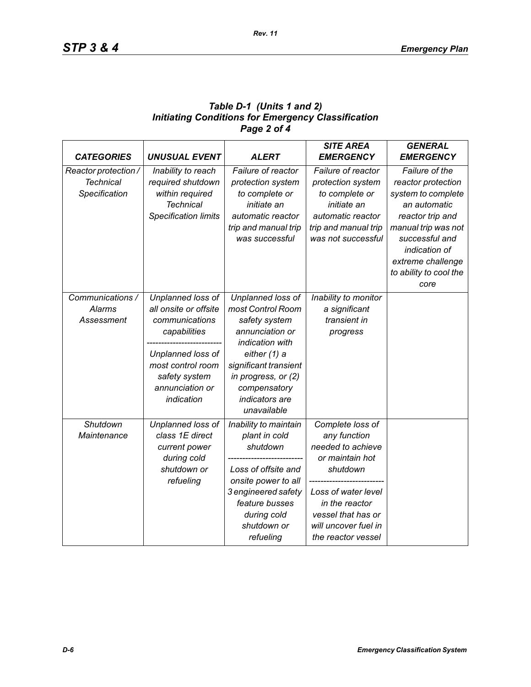# *Table D-1 (Units 1 and 2) Initiating Conditions for Emergency Classification Page 2 of 4*

*Rev. 11*

| <b>CATEGORIES</b>                                         | <b>UNUSUAL EVENT</b>                                                                                                                                                     | <b>ALERT</b>                                                                                                                                                                                                   | <b>SITE AREA</b><br><b>EMERGENCY</b>                                                                                                                                                              | <b>GENERAL</b><br><b>EMERGENCY</b>                                                                                                                                                                              |
|-----------------------------------------------------------|--------------------------------------------------------------------------------------------------------------------------------------------------------------------------|----------------------------------------------------------------------------------------------------------------------------------------------------------------------------------------------------------------|---------------------------------------------------------------------------------------------------------------------------------------------------------------------------------------------------|-----------------------------------------------------------------------------------------------------------------------------------------------------------------------------------------------------------------|
| Reactor protection /<br><b>Technical</b><br>Specification | Inability to reach<br>required shutdown<br>within required<br><b>Technical</b><br><b>Specification limits</b>                                                            | Failure of reactor<br>protection system<br>to complete or<br>initiate an<br>automatic reactor<br>trip and manual trip<br>was successful                                                                        | Failure of reactor<br>protection system<br>to complete or<br>initiate an<br>automatic reactor<br>trip and manual trip<br>was not successful                                                       | Failure of the<br>reactor protection<br>system to complete<br>an automatic<br>reactor trip and<br>manual trip was not<br>successful and<br>indication of<br>extreme challenge<br>to ability to cool the<br>core |
| Communications /<br><b>Alarms</b><br>Assessment           | Unplanned loss of<br>all onsite or offsite<br>communications<br>capabilities<br>Unplanned loss of<br>most control room<br>safety system<br>annunciation or<br>indication | Unplanned loss of<br>most Control Room<br>safety system<br>annunciation or<br>indication with<br>either (1) a<br>significant transient<br>in progress, or (2)<br>compensatory<br>indicators are<br>unavailable | Inability to monitor<br>a significant<br>transient in<br>progress                                                                                                                                 |                                                                                                                                                                                                                 |
| Shutdown<br>Maintenance                                   | Unplanned loss of<br>class 1E direct<br>current power<br>during cold<br>shutdown or<br>refueling                                                                         | Inability to maintain<br>plant in cold<br>shutdown<br>Loss of offsite and<br>onsite power to all<br>3 engineered safety<br>feature busses<br>during cold<br>shutdown or<br>refueling                           | Complete loss of<br>any function<br>needed to achieve<br>or maintain hot<br>shutdown<br>Loss of water level<br>in the reactor<br>vessel that has or<br>will uncover fuel in<br>the reactor vessel |                                                                                                                                                                                                                 |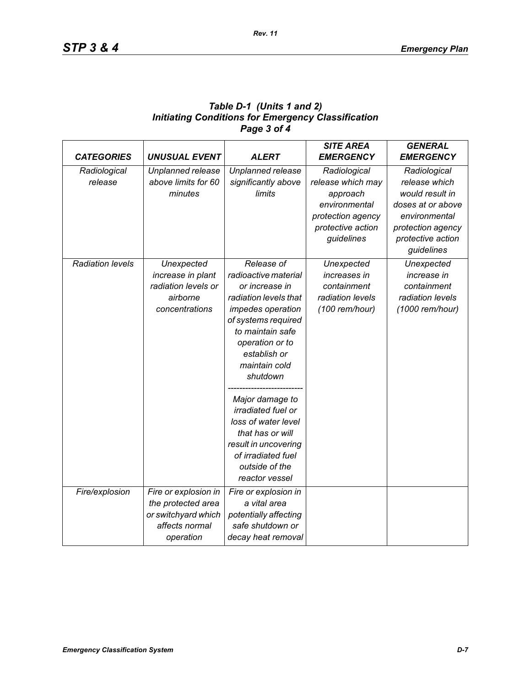| Table D-1 (Units 1 and 2)                                 |
|-----------------------------------------------------------|
| <b>Initiating Conditions for Emergency Classification</b> |
| Page 3 of 4                                               |

| <b>CATEGORIES</b>       | <b>UNUSUAL EVENT</b> | <b>ALERT</b>          | <b>SITE AREA</b><br><b>EMERGENCY</b> | <b>GENERAL</b><br><b>EMERGENCY</b> |
|-------------------------|----------------------|-----------------------|--------------------------------------|------------------------------------|
| Radiological            | Unplanned release    | Unplanned release     | Radiological                         | Radiological                       |
| release                 | above limits for 60  | significantly above   | release which may                    | release which                      |
|                         | minutes              | <b>limits</b>         | approach                             | would result in                    |
|                         |                      |                       | environmental                        | doses at or above                  |
|                         |                      |                       | protection agency                    | environmental                      |
|                         |                      |                       | protective action                    | protection agency                  |
|                         |                      |                       | guidelines                           | protective action                  |
|                         |                      |                       |                                      | guidelines                         |
| <b>Radiation levels</b> | Unexpected           | Release of            | Unexpected                           | Unexpected                         |
|                         | increase in plant    | radioactive material  | increases in                         | increase in                        |
|                         | radiation levels or  | or increase in        | containment                          | containment                        |
|                         | airborne             | radiation levels that | radiation levels                     | radiation levels                   |
|                         | concentrations       | impedes operation     | (100 rem/hour)                       | (1000 rem/hour)                    |
|                         |                      | of systems required   |                                      |                                    |
|                         |                      | to maintain safe      |                                      |                                    |
|                         |                      | operation or to       |                                      |                                    |
|                         |                      | establish or          |                                      |                                    |
|                         |                      | maintain cold         |                                      |                                    |
|                         |                      | shutdown              |                                      |                                    |
|                         |                      | Major damage to       |                                      |                                    |
|                         |                      | irradiated fuel or    |                                      |                                    |
|                         |                      | loss of water level   |                                      |                                    |
|                         |                      | that has or will      |                                      |                                    |
|                         |                      | result in uncovering  |                                      |                                    |
|                         |                      | of irradiated fuel    |                                      |                                    |
|                         |                      | outside of the        |                                      |                                    |
|                         |                      | reactor vessel        |                                      |                                    |
| Fire/explosion          | Fire or explosion in | Fire or explosion in  |                                      |                                    |
|                         | the protected area   | a vital area          |                                      |                                    |
|                         | or switchyard which  | potentially affecting |                                      |                                    |
|                         | affects normal       | safe shutdown or      |                                      |                                    |
|                         | operation            | decay heat removal    |                                      |                                    |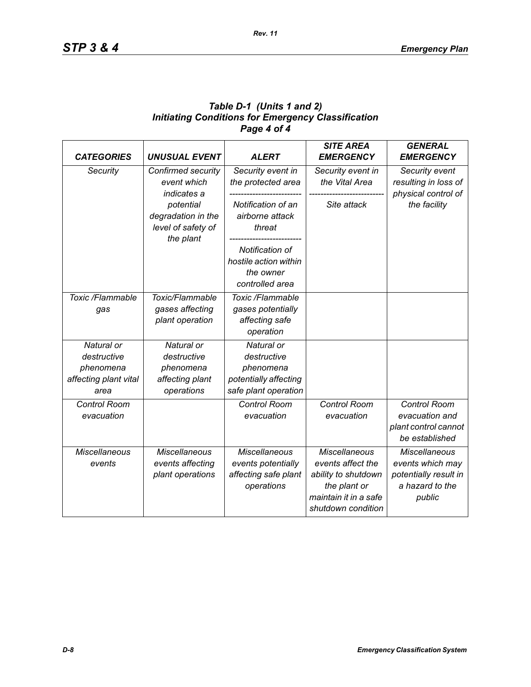# *Table D-1 (Units 1 and 2) Initiating Conditions for Emergency Classification Page 4 of 4*

| <b>CATEGORIES</b>             | <b>UNUSUAL EVENT</b>                                  | <b>ALERT</b>                                                             | <b>SITE AREA</b><br><b>EMERGENCY</b> | <b>GENERAL</b><br><b>EMERGENCY</b>     |
|-------------------------------|-------------------------------------------------------|--------------------------------------------------------------------------|--------------------------------------|----------------------------------------|
| Security                      | Confirmed security<br>event which                     | Security event in<br>the protected area                                  | Security event in<br>the Vital Area  | Security event<br>resulting in loss of |
|                               | indicates a                                           |                                                                          |                                      | physical control of                    |
|                               | potential<br>degradation in the<br>level of safety of | Notification of an<br>airborne attack<br>threat                          | Site attack                          | the facility                           |
|                               | the plant                                             | Notification of<br>hostile action within<br>the owner<br>controlled area |                                      |                                        |
| Toxic /Flammable              | Toxic/Flammable                                       | Toxic /Flammable                                                         |                                      |                                        |
| gas                           | gases affecting<br>plant operation                    | gases potentially<br>affecting safe                                      |                                      |                                        |
|                               |                                                       | operation                                                                |                                      |                                        |
| Natural or                    | Natural or                                            | Natural or                                                               |                                      |                                        |
| destructive                   | destructive                                           | destructive                                                              |                                      |                                        |
| phenomena                     | phenomena                                             | phenomena                                                                |                                      |                                        |
| affecting plant vital<br>area | affecting plant<br>operations                         | potentially affecting<br>safe plant operation                            |                                      |                                        |
| <b>Control Room</b>           |                                                       | <b>Control Room</b>                                                      | <b>Control Room</b>                  | Control Room                           |
| evacuation                    |                                                       | evacuation                                                               | evacuation                           | evacuation and                         |
|                               |                                                       |                                                                          |                                      | plant control cannot<br>be established |
| <b>Miscellaneous</b>          | <b>Miscellaneous</b>                                  | <b>Miscellaneous</b>                                                     | <b>Miscellaneous</b>                 | <b>Miscellaneous</b>                   |
| events                        | events affecting                                      | events potentially                                                       | events affect the                    | events which may                       |
|                               | plant operations                                      | affecting safe plant                                                     | ability to shutdown                  | potentially result in                  |
|                               |                                                       | operations                                                               | the plant or                         | a hazard to the                        |
|                               |                                                       |                                                                          | maintain it in a safe                | public                                 |
|                               |                                                       |                                                                          | shutdown condition                   |                                        |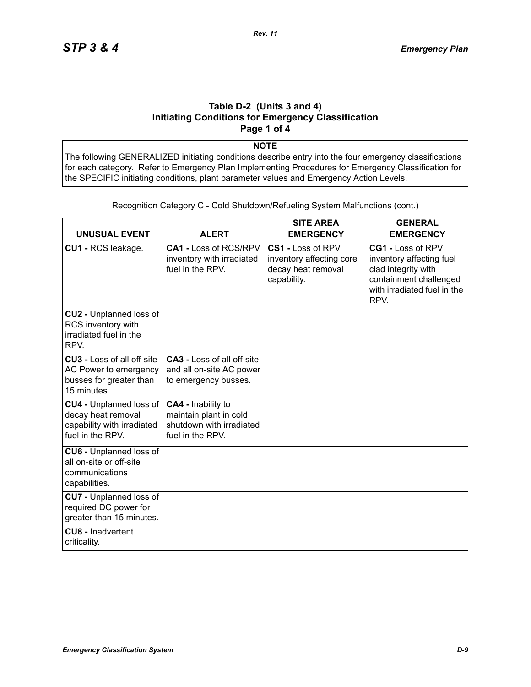### **Table D-2 (Units 3 and 4) Initiating Conditions for Emergency Classification Page 1 of 4**

**NOTE**

The following GENERALIZED initiating conditions describe entry into the four emergency classifications for each category. Refer to Emergency Plan Implementing Procedures for Emergency Classification for the SPECIFIC initiating conditions, plant parameter values and Emergency Action Levels.

| <b>UNUSUAL EVENT</b>                                                                                   | <b>ALERT</b>                                                                                 | <b>SITE AREA</b><br><b>EMERGENCY</b>                                               | <b>GENERAL</b><br><b>EMERGENCY</b>                                                                                                    |
|--------------------------------------------------------------------------------------------------------|----------------------------------------------------------------------------------------------|------------------------------------------------------------------------------------|---------------------------------------------------------------------------------------------------------------------------------------|
| CU1 - RCS leakage.                                                                                     | CA1 - Loss of RCS/RPV<br>inventory with irradiated<br>fuel in the RPV.                       | CS1 - Loss of RPV<br>inventory affecting core<br>decay heat removal<br>capability. | CG1 - Loss of RPV<br>inventory affecting fuel<br>clad integrity with<br>containment challenged<br>with irradiated fuel in the<br>RPV. |
| <b>CU2 - Unplanned loss of</b><br>RCS inventory with<br>irradiated fuel in the<br>RPV.                 |                                                                                              |                                                                                    |                                                                                                                                       |
| CU3 - Loss of all off-site<br>AC Power to emergency<br>busses for greater than<br>15 minutes.          | <b>CA3 - Loss of all off-site</b><br>and all on-site AC power<br>to emergency busses.        |                                                                                    |                                                                                                                                       |
| <b>CU4 - Unplanned loss of</b><br>decay heat removal<br>capability with irradiated<br>fuel in the RPV. | CA4 - Inability to<br>maintain plant in cold<br>shutdown with irradiated<br>fuel in the RPV. |                                                                                    |                                                                                                                                       |
| <b>CU6 - Unplanned loss of</b><br>all on-site or off-site<br>communications<br>capabilities.           |                                                                                              |                                                                                    |                                                                                                                                       |
| <b>CU7</b> - Unplanned loss of<br>required DC power for<br>greater than 15 minutes.                    |                                                                                              |                                                                                    |                                                                                                                                       |
| <b>CU8 - Inadvertent</b><br>criticality.                                                               |                                                                                              |                                                                                    |                                                                                                                                       |

Recognition Category C - Cold Shutdown/Refueling System Malfunctions (cont.)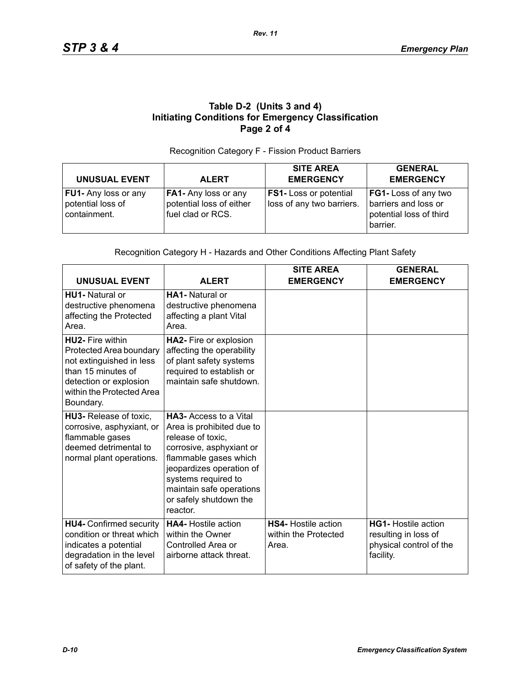# **Table D-2 (Units 3 and 4) Initiating Conditions for Emergency Classification Page 2 of 4**

#### Recognition Category F - Fission Product Barriers

| <b>UNUSUAL EVENT</b>                                             | <b>ALERT</b>                                                          | <b>SITE AREA</b><br><b>EMERGENCY</b>                       | <b>GENERAL</b><br><b>EMERGENCY</b>                                                  |
|------------------------------------------------------------------|-----------------------------------------------------------------------|------------------------------------------------------------|-------------------------------------------------------------------------------------|
| <b>FU1-</b> Any loss or any<br>potential loss of<br>containment. | FA1- Any loss or any<br>potential loss of either<br>fuel clad or RCS. | <b>FS1-</b> Loss or potential<br>loss of any two barriers. | FG1- Loss of any two<br>barriers and loss or<br>potential loss of third<br>barrier. |

### Recognition Category H - Hazards and Other Conditions Affecting Plant Safety

| <b>UNUSUAL EVENT</b>                                                                                                                                                     | <b>ALERT</b>                                                                                                                                                                                                                                              | <b>SITE AREA</b><br><b>EMERGENCY</b>                        | <b>GENERAL</b><br><b>EMERGENCY</b>                                                         |
|--------------------------------------------------------------------------------------------------------------------------------------------------------------------------|-----------------------------------------------------------------------------------------------------------------------------------------------------------------------------------------------------------------------------------------------------------|-------------------------------------------------------------|--------------------------------------------------------------------------------------------|
| HU1- Natural or<br>destructive phenomena<br>affecting the Protected<br>Area.                                                                                             | HA1- Natural or<br>destructive phenomena<br>affecting a plant Vital<br>Area.                                                                                                                                                                              |                                                             |                                                                                            |
| <b>HU2-</b> Fire within<br>Protected Area boundary<br>not extinguished in less<br>than 15 minutes of<br>detection or explosion<br>within the Protected Area<br>Boundary. | HA2- Fire or explosion<br>affecting the operability<br>of plant safety systems<br>required to establish or<br>maintain safe shutdown.                                                                                                                     |                                                             |                                                                                            |
| HU3- Release of toxic.<br>corrosive, asphyxiant, or<br>flammable gases<br>deemed detrimental to<br>normal plant operations.                                              | <b>HA3-</b> Access to a Vital<br>Area is prohibited due to<br>release of toxic,<br>corrosive, asphyxiant or<br>flammable gases which<br>jeopardizes operation of<br>systems required to<br>maintain safe operations<br>or safely shutdown the<br>reactor. |                                                             |                                                                                            |
| <b>HU4-</b> Confirmed security<br>condition or threat which<br>indicates a potential<br>degradation in the level<br>of safety of the plant.                              | <b>HA4-</b> Hostile action<br>within the Owner<br>Controlled Area or<br>airborne attack threat.                                                                                                                                                           | <b>HS4- Hostile action</b><br>within the Protected<br>Area. | <b>HG1-</b> Hostile action<br>resulting in loss of<br>physical control of the<br>facility. |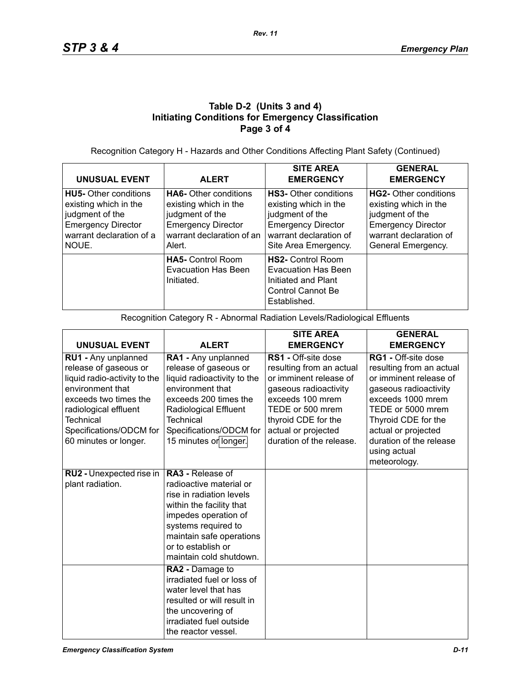# **Table D-2 (Units 3 and 4) Initiating Conditions for Emergency Classification Page 3 of 4**

Recognition Category H - Hazards and Other Conditions Affecting Plant Safety (Continued)

| <b>UNUSUAL EVENT</b>                                                                                                                       | <b>ALERT</b>                                                                                                                                 | <b>SITE AREA</b><br><b>EMERGENCY</b>                                                                                                                    | <b>GENERAL</b><br><b>EMERGENCY</b>                                                                                                             |
|--------------------------------------------------------------------------------------------------------------------------------------------|----------------------------------------------------------------------------------------------------------------------------------------------|---------------------------------------------------------------------------------------------------------------------------------------------------------|------------------------------------------------------------------------------------------------------------------------------------------------|
| <b>HU5-</b> Other conditions<br>existing which in the<br>judgment of the<br><b>Emergency Director</b><br>warrant declaration of a<br>NOUE. | <b>HA6-</b> Other conditions<br>existing which in the<br>judgment of the<br><b>Emergency Director</b><br>warrant declaration of an<br>Alert. | <b>HS3-</b> Other conditions<br>existing which in the<br>judgment of the<br><b>Emergency Director</b><br>warrant declaration of<br>Site Area Emergency. | HG2- Other conditions<br>existing which in the<br>judgment of the<br><b>Emergency Director</b><br>warrant declaration of<br>General Emergency. |
|                                                                                                                                            | <b>HA5-</b> Control Room<br><b>Evacuation Has Been</b><br>Initiated.                                                                         | <b>HS2-</b> Control Room<br>Evacuation Has Been<br>Initiated and Plant<br>Control Cannot Be<br>Established.                                             |                                                                                                                                                |

Recognition Category R - Abnormal Radiation Levels/Radiological Effluents

|                                                                                                                                                                                                                     |                                                                                                                                                                                                                                        | <b>SITE AREA</b>                                                                                                                                                                                                     | <b>GENERAL</b>                                                                                                                                                                                                                        |
|---------------------------------------------------------------------------------------------------------------------------------------------------------------------------------------------------------------------|----------------------------------------------------------------------------------------------------------------------------------------------------------------------------------------------------------------------------------------|----------------------------------------------------------------------------------------------------------------------------------------------------------------------------------------------------------------------|---------------------------------------------------------------------------------------------------------------------------------------------------------------------------------------------------------------------------------------|
| <b>UNUSUAL EVENT</b>                                                                                                                                                                                                | <b>ALERT</b>                                                                                                                                                                                                                           | <b>EMERGENCY</b>                                                                                                                                                                                                     | <b>EMERGENCY</b>                                                                                                                                                                                                                      |
| RU1 - Any unplanned<br>release of gaseous or<br>liquid radio-activity to the<br>environment that<br>exceeds two times the<br>radiological effluent<br>Technical<br>Specifications/ODCM for<br>60 minutes or longer. | RA1 - Any unplanned<br>release of gaseous or<br>liquid radioactivity to the<br>environment that<br>exceeds 200 times the<br>Radiological Effluent<br>Technical<br>Specifications/ODCM for<br>15 minutes or longer.                     | RS1 - Off-site dose<br>resulting from an actual<br>or imminent release of<br>gaseous radioactivity<br>exceeds 100 mrem<br>TEDE or 500 mrem<br>thyroid CDE for the<br>actual or projected<br>duration of the release. | RG1 - Off-site dose<br>resulting from an actual<br>or imminent release of<br>gaseous radioactivity<br>exceeds 1000 mrem<br>TEDE or 5000 mrem<br>Thyroid CDE for the<br>actual or projected<br>duration of the release<br>using actual |
|                                                                                                                                                                                                                     |                                                                                                                                                                                                                                        |                                                                                                                                                                                                                      | meteorology.                                                                                                                                                                                                                          |
| RU2 - Unexpected rise in<br>plant radiation.                                                                                                                                                                        | <b>RA3 - Release of</b><br>radioactive material or<br>rise in radiation levels<br>within the facility that<br>impedes operation of<br>systems required to<br>maintain safe operations<br>or to establish or<br>maintain cold shutdown. |                                                                                                                                                                                                                      |                                                                                                                                                                                                                                       |
|                                                                                                                                                                                                                     | RA2 - Damage to<br>irradiated fuel or loss of<br>water level that has<br>resulted or will result in<br>the uncovering of<br>irradiated fuel outside<br>the reactor vessel.                                                             |                                                                                                                                                                                                                      |                                                                                                                                                                                                                                       |